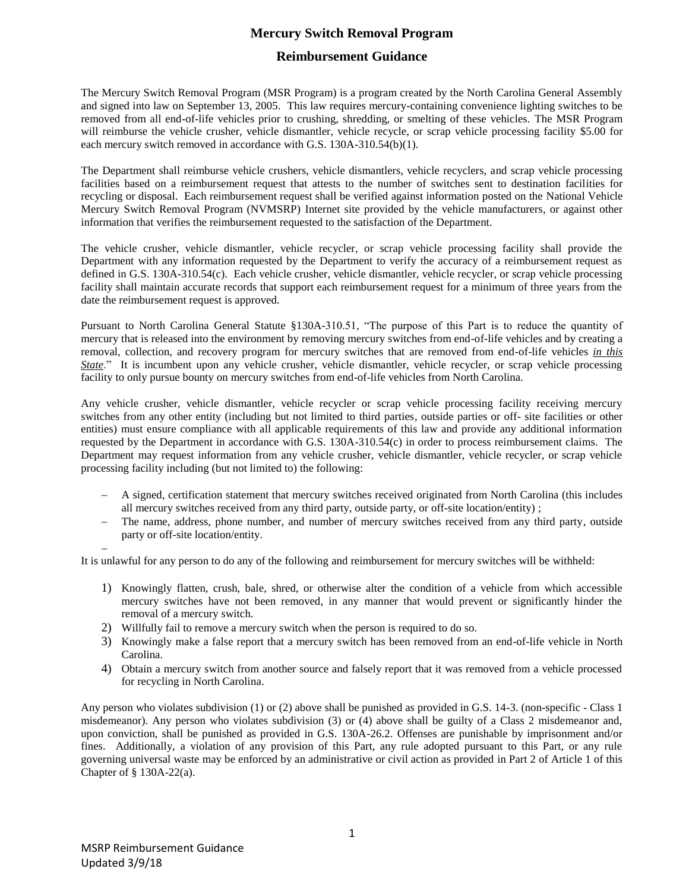## **Mercury Switch Removal Program**

## **Reimbursement Guidance**

The Mercury Switch Removal Program (MSR Program) is a program created by the North Carolina General Assembly and signed into law on September 13, 2005. This law requires mercury-containing convenience lighting switches to be removed from all end-of-life vehicles prior to crushing, shredding, or smelting of these vehicles. The MSR Program will reimburse the vehicle crusher, vehicle dismantler, vehicle recycle, or scrap vehicle processing facility \$5.00 for each mercury switch removed in accordance with G.S. 130A-310.54(b)(1).

The Department shall reimburse vehicle crushers, vehicle dismantlers, vehicle recyclers, and scrap vehicle processing facilities based on a reimbursement request that attests to the number of switches sent to destination facilities for recycling or disposal. Each reimbursement request shall be verified against information posted on the National Vehicle Mercury Switch Removal Program (NVMSRP) Internet site provided by the vehicle manufacturers, or against other information that verifies the reimbursement requested to the satisfaction of the Department.

The vehicle crusher, vehicle dismantler, vehicle recycler, or scrap vehicle processing facility shall provide the Department with any information requested by the Department to verify the accuracy of a reimbursement request as defined in G.S. 130A-310.54(c). Each vehicle crusher, vehicle dismantler, vehicle recycler, or scrap vehicle processing facility shall maintain accurate records that support each reimbursement request for a minimum of three years from the date the reimbursement request is approved.

Pursuant to North Carolina General Statute §130A-310.51, "The purpose of this Part is to reduce the quantity of mercury that is released into the environment by removing mercury switches from end-of-life vehicles and by creating a removal, collection, and recovery program for mercury switches that are removed from end-of-life vehicles *in this State.*" It is incumbent upon any vehicle crusher, vehicle dismantler, vehicle recycler, or scrap vehicle processing facility to only pursue bounty on mercury switches from end-of-life vehicles from North Carolina.

Any vehicle crusher, vehicle dismantler, vehicle recycler or scrap vehicle processing facility receiving mercury switches from any other entity (including but not limited to third parties, outside parties or off- site facilities or other entities) must ensure compliance with all applicable requirements of this law and provide any additional information requested by the Department in accordance with G.S. 130A-310.54(c) in order to process reimbursement claims. The Department may request information from any vehicle crusher, vehicle dismantler, vehicle recycler, or scrap vehicle processing facility including (but not limited to) the following:

- A signed, certification statement that mercury switches received originated from North Carolina (this includes all mercury switches received from any third party, outside party, or off-site location/entity) ;
- The name, address, phone number, and number of mercury switches received from any third party, outside party or off-site location/entity.

-It is unlawful for any person to do any of the following and reimbursement for mercury switches will be withheld:

- 1) Knowingly flatten, crush, bale, shred, or otherwise alter the condition of a vehicle from which accessible mercury switches have not been removed, in any manner that would prevent or significantly hinder the removal of a mercury switch.
- 2) Willfully fail to remove a mercury switch when the person is required to do so.
- 3) Knowingly make a false report that a mercury switch has been removed from an end-of-life vehicle in North Carolina.
- 4) Obtain a mercury switch from another source and falsely report that it was removed from a vehicle processed for recycling in North Carolina.

Any person who violates subdivision (1) or (2) above shall be punished as provided in G.S. 14-3. (non-specific - Class 1 misdemeanor). Any person who violates subdivision (3) or (4) above shall be guilty of a Class 2 misdemeanor and, upon conviction, shall be punished as provided in G.S. 130A-26.2. Offenses are punishable by imprisonment and/or fines. Additionally, a violation of any provision of this Part, any rule adopted pursuant to this Part, or any rule governing universal waste may be enforced by an administrative or civil action as provided in Part 2 of Article 1 of this Chapter of § 130A-22(a).